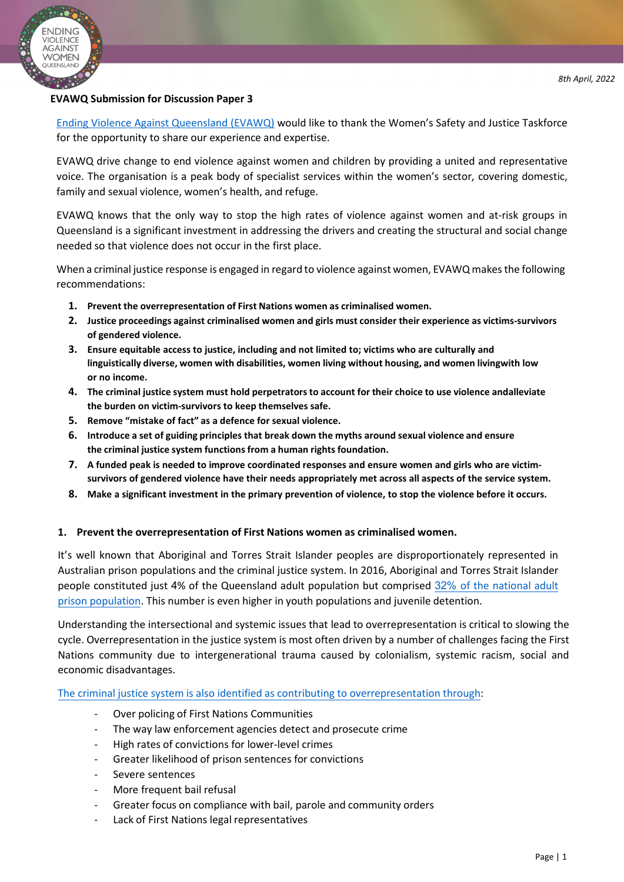

#### **EVAWQ Submission for Discussion Paper 3**

Ending Violence Against Queensland (EVAWQ) would like to thank the Women's Safety and Justice Taskforce for the opportunity to share our experience and expertise.

EVAWQ drive change to end violence against women and children by providing a united and representative voice. The organisation is a peak body of specialist services within the women's sector, covering domestic, family and sexual violence, women's health, and refuge.

EVAWQ knows that the only way to stop the high rates of violence against women and at-risk groups in Queensland is a significant investment in addressing the drivers and creating the structural and social change needed so that violence does not occur in the first place.

When a criminal justice response is engaged in regard to violence against women, EVAWQ makes the following recommendations:

- **1. Prevent the overrepresentation of First Nations women as criminalised women.**
- **2. Justice proceedings against criminalised women and girls must consider their experience as victims- survivors of gendered violence.**
- **3. Ensure equitable access to justice, including and not limited to; victims who are culturally and linguistically diverse, women with disabilities, women living without housing, and women livingwith low or no income.**
- **4. The criminal justice system must hold perpetratorsto account for their choice to use violence and alleviate the burden on victim-survivors to keep themselves safe.**
- **5. Remove "mistake of fact" as a defence for sexual violence.**
- **6. Introduce a set of guiding principles that break down the myths around sexual violence and ensure the criminal justice system functions from a human rights foundation.**
- **7. A funded peak is needed to improve coordinated responses and ensure women and girls who are victimsurvivors of gendered violence have their needs appropriately met across all aspects of the service system.**
- **8. Make a significant investment in the primary prevention of violence, to stop the violence before it occurs.**

### **1. Prevent the overrepresentation of First Nations women as criminalised women.**

It's well known that Aboriginal and Torres Strait Islander peoples are disproportionately represented in Australian prison populations and the criminal justice system. In 2016, Aboriginal and Torres Strait Islander people constituted just 4% of the Queensland adult population but comprised 32% of the national adult prison population. This number is even higher in youth populations and juvenile detention.

Understanding the intersectional and systemic issues that lead to overrepresentation is critical to slowing the cycle. Overrepresentation in the justice system is most often driven by a number of challenges facing the First Nations community due to intergenerational trauma caused by colonialism, systemic racism, social and economic disadvantages.

The criminal justice system is also identified as contributing to overrepresentation through:

- Over policing of First Nations Communities
- The way law enforcement agencies detect and prosecute crime
- High rates of convictions for lower-level crimes
- Greater likelihood of prison sentences for convictions
- Severe sentences
- More frequent bail refusal
- Greater focus on compliance with bail, parole and community orders
- Lack of First Nations legal representatives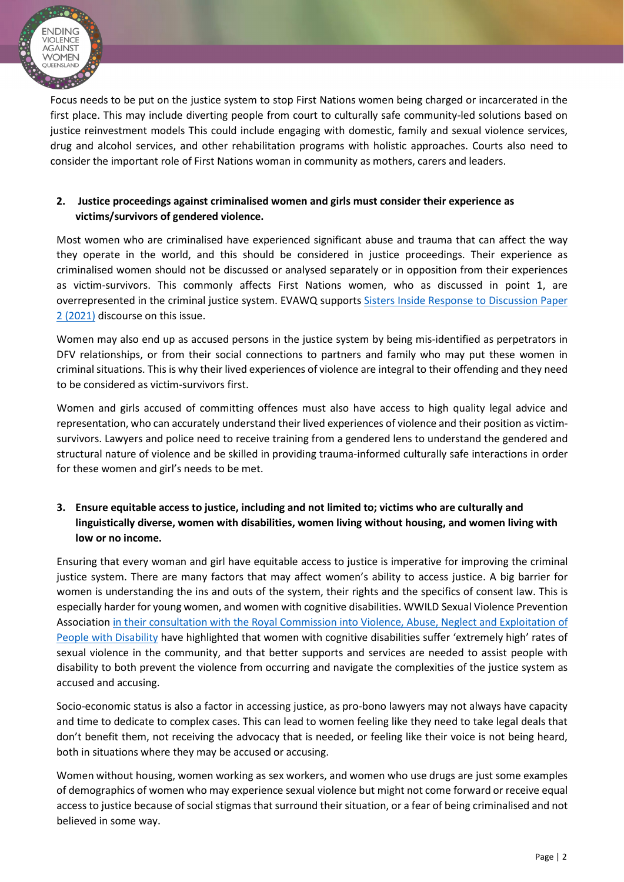

Focus needs to be put on the justice system to stop First Nations women being charged or incarcerated in the first place. This may include diverting people from court to culturally safe community-led solutions based on justice reinvestment models This could include engaging with domestic, family and sexual violence services, drug and alcohol services, and other rehabilitation programs with holistic approaches. Courts also need to consider the important role of First Nations woman in community as mothers, carers and leaders.

### **2. Justice proceedings against criminalised women and girls must consider their experience as victims/survivors of gendered violence.**

Most women who are criminalised have experienced significant abuse and trauma that can affect the way they operate in the world, and this should be considered in justice proceedings. Their experience as criminalised women should not be discussed or analysed separately or in opposition from their experiences as victim-survivors. This commonly affects First Nations women, who as discussed in point 1, are overrepresented in the criminal justice system. EVAWQ supports Sisters Inside Response to Discussion Paper 2 (2021) discourse on this issue.

Women may also end up as accused persons in the justice system by being mis-identified as perpetrators in DFV relationships, or from their social connections to partners and family who may put these women in criminal situations. This is why their lived experiences of violence are integral to their offending and they need to be considered as victim-survivors first.

Women and girls accused of committing offences must also have access to high quality legal advice and representation, who can accurately understand their lived experiences of violence and their position as victimsurvivors. Lawyers and police need to receive training from a gendered lens to understand the gendered and structural nature of violence and be skilled in providing trauma-informed culturally safe interactions in order for these women and girl's needs to be met.

# **3. Ensure equitable access to justice, including and not limited to; victims who are culturally and linguistically diverse, women with disabilities, women living without housing, and women living with low or no income.**

Ensuring that every woman and girl have equitable access to justice is imperative for improving the criminal justice system. There are many factors that may affect women's ability to access justice. A big barrier for women is understanding the ins and outs of the system, their rights and the specifics of consent law. This is especially harder for young women, and women with cognitive disabilities. WWILD Sexual Violence Prevention Association in their consultation with the Royal Commission into Violence, Abuse, Neglect and Exploitation of People with Disability have highlighted that women with cognitive disabilities suffer 'extremely high' rates of sexual violence in the community, and that better supports and services are needed to assist people with disability to both prevent the violence from occurring and navigate the complexities of the justice system as accused and accusing.

Socio-economic status is also a factor in accessing justice, as pro-bono lawyers may not always have capacity and time to dedicate to complex cases. This can lead to women feeling like they need to take legal deals that don't benefit them, not receiving the advocacy that is needed, or feeling like their voice is not being heard, both in situations where they may be accused or accusing.

Women without housing, women working as sex workers, and women who use drugs are just some examples of demographics of women who may experience sexual violence but might not come forward or receive equal access to justice because of social stigmas that surround their situation, or a fear of being criminalised and not believed in some way.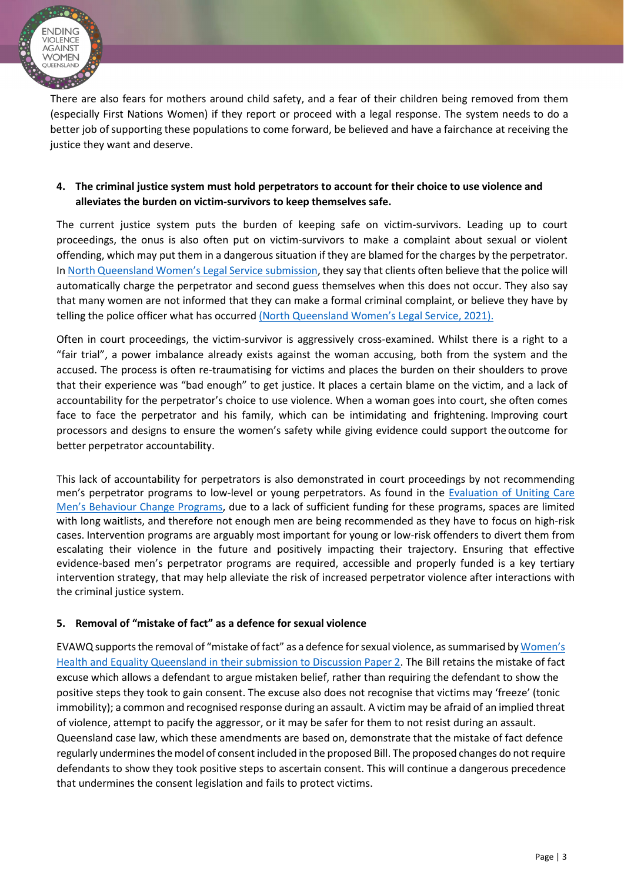

There are also fears for mothers around child safety, and a fear of their children being removed from them (especially First Nations Women) if they report or proceed with a legal response. The system needs to do a better job of supporting these populations to come forward, be believed and have a fairchance at receiving the justice they want and deserve.

### **4. The criminal justice system must hold perpetrators to account for their choice to use violence and alleviates the burden on victim-survivors to keep themselves safe.**

The current justice system puts the burden of keeping safe on victim-survivors. Leading up to court proceedings, the onus is also often put on victim-survivors to make a complaint about sexual or violent offending, which may put them in a dangerous situation if they are blamed for the charges by the perpetrator. In North Queensland Women's Legal Service submission, they say that clients often believe that the police will automatically charge the perpetrator and second guess themselves when this does not occur. They also say that many women are not informed that they can make a formal criminal complaint, or believe they have by telling the police officer what has occurred (North Queensland Women's Legal Service, 2021).

Often in court proceedings, the victim-survivor is aggressively cross-examined. Whilst there is a right to a "fair trial", a power imbalance already exists against the woman accusing, both from the system and the accused. The process is often re-traumatising for victims and places the burden on their shoulders to prove that their experience was "bad enough" to get justice. It places a certain blame on the victim, and a lack of accountability for the perpetrator's choice to use violence. When a woman goes into court, she often comes face to face the perpetrator and his family, which can be intimidating and frightening. Improving court processors and designs to ensure the women's safety while giving evidence could support the outcome for better perpetrator accountability.

This lack of accountability for perpetrators is also demonstrated in court proceedings by not recommending men's perpetrator programs to low-level or young perpetrators. As found in the Evaluation of Uniting Care Men's Behaviour Change Programs, due to a lack of sufficient funding for these programs, spaces are limited with long waitlists, and therefore not enough men are being recommended as they have to focus on high-risk cases. Intervention programs are arguably most important for young or low-risk offenders to divert them from escalating their violence in the future and positively impacting their trajectory. Ensuring that effective evidence-based men's perpetrator programs are required, accessible and properly funded is a key tertiary intervention strategy, that may help alleviate the risk of increased perpetrator violence after interactions with the criminal justice system.

### **5. Removal of "mistake of fact" as a defence for sexual violence**

EVAWQ supports the removal of "mistake of fact" as a defence for sexual violence, as summarised by Women's Health and Equality Queensland in their submission to Discussion Paper 2. The Bill retains the mistake of fact excuse which allows a defendant to argue mistaken belief, rather than requiring the defendant to show the positive steps they took to gain consent. The excuse also does not recognise that victims may 'freeze' (tonic immobility); a common and recognised response during an assault. A victim may be afraid of an implied threat of violence, attempt to pacify the aggressor, or it may be safer for them to not resist during an assault. Queensland case law, which these amendments are based on, demonstrate that the mistake of fact defence regularly underminesthe model of consent included in the proposed Bill. The proposed changes do not require defendants to show they took positive steps to ascertain consent. This will continue a dangerous precedence that undermines the consent legislation and fails to protect victims.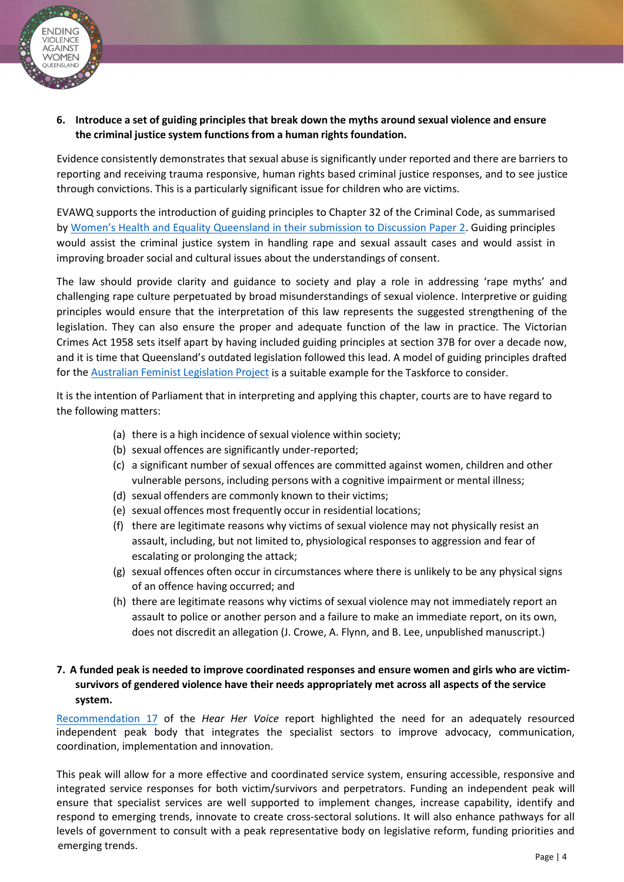

**6. Introduce a set of guiding principles that break down the myths around sexual violence and ensure the criminal justice system functionsfrom a human rights foundation.**

Evidence consistently demonstrates that sexual abuse is significantly under reported and there are barriers to reporting and receiving trauma responsive, human rights based criminal justice responses, and to see justice through convictions. This is a particularly significant issue for children who are victims.

EVAWQ supports the introduction of guiding principles to Chapter 32 of the Criminal Code, as summarised by Women's Health and Equality Queensland in their submission to Discussion Paper 2. Guiding principles would assist the criminal justice system in handling rape and sexual assault cases and would assist in improving broader social and cultural issues about the understandings of consent.

The law should provide clarity and guidance to society and play a role in addressing 'rape myths' and challenging rape culture perpetuated by broad misunderstandings of sexual violence. Interpretive or guiding principles would ensure that the interpretation of this law represents the suggested strengthening of the legislation. They can also ensure the proper and adequate function of the law in practice. The Victorian Crimes Act 1958 sets itself apart by having included guiding principles at section 37B for over a decade now, and it is time that Queensland's outdated legislation followed this lead. A model of guiding principles drafted for the Australian Feminist Legislation Project is a suitable example for the Taskforce to consider.

It is the intention of Parliament that in interpreting and applying this chapter, courts are to have regard to the following matters:

- (a) there is a high incidence of sexual violence within society;
- (b) sexual offences are significantly under-reported;
- (c) a significant number of sexual offences are committed against women, children and other vulnerable persons, including persons with a cognitive impairment or mental illness;
- (d) sexual offenders are commonly known to their victims;
- (e) sexual offences most frequently occur in residential locations;
- (f) there are legitimate reasons why victims of sexual violence may not physically resist an assault, including, but not limited to, physiological responses to aggression and fear of escalating or prolonging the attack;
- (g) sexual offences often occur in circumstances where there is unlikely to be any physical signs of an offence having occurred; and
- (h) there are legitimate reasons why victims of sexual violence may not immediately report an assault to police or another person and a failure to make an immediate report, on its own, does not discredit an allegation (J. Crowe, A. Flynn, and B. Lee, unpublished manuscript.)

# **7. A funded peak is needed to improve coordinated responses and ensure women and girls who are victimsurvivors of gendered violence have their needs appropriately met across all aspects of the service system.**

Recommendation 17 of the *Hear Her Voice* report highlighted the need for an adequately resourced independent peak body that integrates the specialist sectors to improve advocacy, communication, coordination, implementation and innovation.

This peak will allow for a more effective and coordinated service system, ensuring accessible, responsive and integrated service responses for both victim/survivors and perpetrators. Funding an independent peak will ensure that specialist services are well supported to implement changes, increase capability, identify and respond to emerging trends, innovate to create cross-sectoral solutions. It will also enhance pathways for all levels of government to consult with a peak representative body on legislative reform, funding priorities and emerging trends.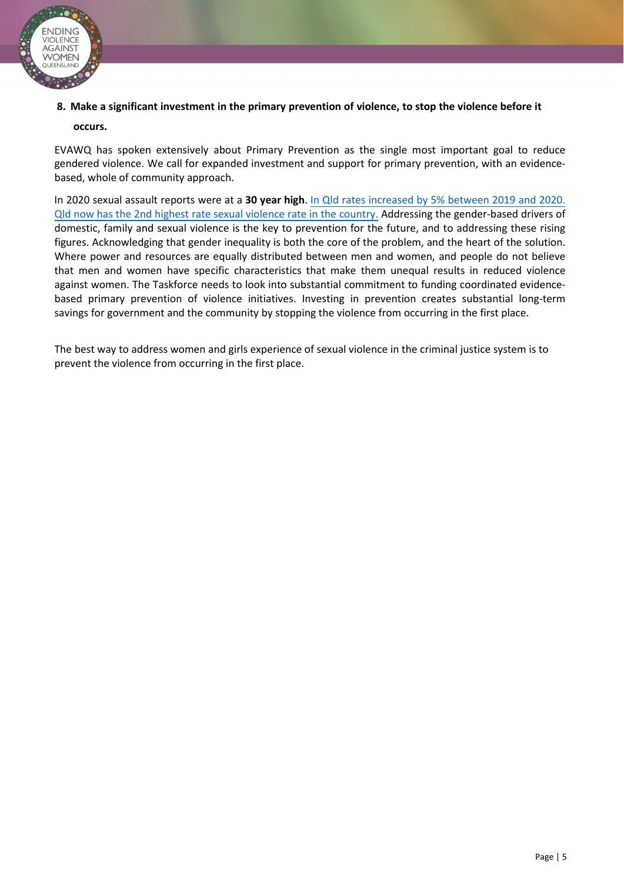

### **8. Make a significant investment in the primary prevention of violence, to stop the violence before it**

### **occurs.**

EVAWQ has spoken extensively about Primary Prevention as the single most important goal to reduce gendered violence. We call for expanded investment and support for primary prevention, with an evidencebased, whole of community approach.

In 2020 sexual assault reports were at a **30 year high**. In Qld rates increased by 5% between 2019 and 2020. Qld now has the 2nd highest rate sexual violence rate in the country. Addressing the gender-based drivers of domestic, family and sexual violence is the key to prevention for the future, and to addressing these rising figures. Acknowledging that gender inequality is both the core of the problem, and the heart of the solution. Where power and resources are equally distributed between men and women, and people do not believe that men and women have specific characteristics that make them unequal results in reduced violence against women. The Taskforce needs to look into substantial commitment to funding coordinated evidencebased primary prevention of violence initiatives. Investing in prevention creates substantial long-term savings for government and the community by stopping the violence from occurring in the first place.

The best way to address women and girls experience of sexual violence in the criminal justice system is to prevent the violence from occurring in the first place.